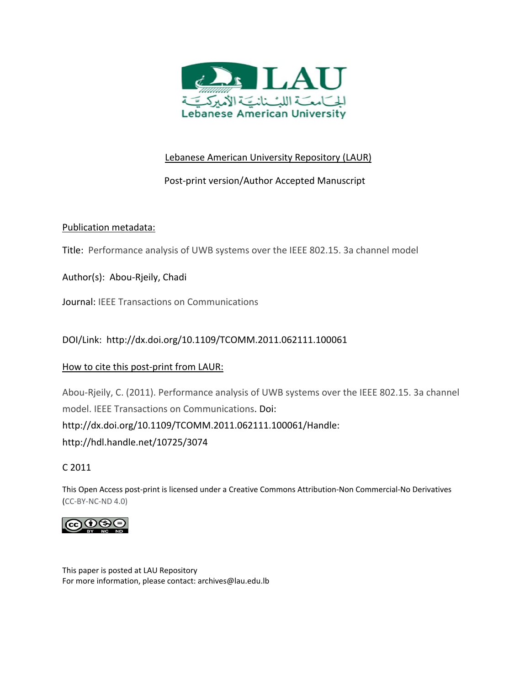

## Lebanese American University Repository (LAUR)

# Post‐print version/Author Accepted Manuscript

## Publication metadata:

Title: Performance analysis of UWB systems over the IEEE 802.15. 3a channel model

Author(s): Abou‐Rjeily, Chadi

Journal: IEEE Transactions on Communications

## DOI/Link: http://dx.doi.org/10.1109/TCOMM.2011.062111.100061

## How to cite this post-print from LAUR:

Abou‐Rjeily, C. (2011). Performance analysis of UWB systems over the IEEE 802.15. 3a channel model. IEEE Transactions on Communications. Doi: http://dx.doi.org/10.1109/TCOMM.2011.062111.100061/Handle: http://hdl.handle.net/10725/3074

## C 2011

This Open Access post‐print is licensed under a Creative Commons Attribution‐Non Commercial‐No Derivatives (CC‐BY‐NC‐ND 4.0)



This paper is posted at LAU Repository For more information, please contact: archives@lau.edu.lb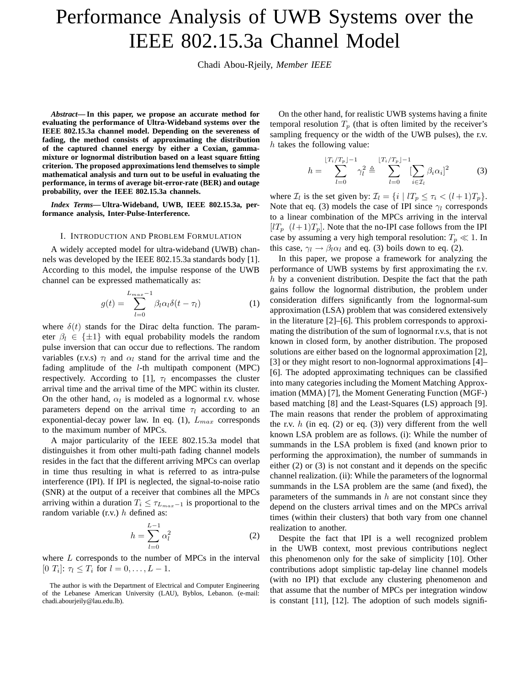# Performance Analysis of UWB Systems over the IEEE 802.15.3a Channel Model

Chadi Abou-Rjeily, *Member IEEE*

*Abstract***— In this paper, we propose an accurate method for evaluating the performance of Ultra-Wideband systems over the IEEE 802.15.3a channel model. Depending on the severeness of fading, the method consists of approximating the distribution of the captured channel energy by either a Coxian, gammamixture or lognormal distribution based on a least square fitting criterion. The proposed approximations lend themselves to simple mathematical analysis and turn out to be useful in evaluating the performance, in terms of average bit-error-rate (BER) and outage probability, over the IEEE 802.15.3a channels.**

*Index Terms***— Ultra-Wideband, UWB, IEEE 802.15.3a, performance analysis, Inter-Pulse-Interference.**

### I. INTRODUCTION AND PROBLEM FORMULATION

A widely accepted model for ultra-wideband (UWB) channels was developed by the IEEE 802.15.3a standards body [1]. According to this model, the impulse response of the UWB channel can be expressed mathematically as:

$$
g(t) = \sum_{l=0}^{L_{max}-1} \beta_l \alpha_l \delta(t - \tau_l)
$$
 (1)

where  $\delta(t)$  stands for the Dirac delta function. The parameter  $\beta_l \in {\pm 1}$  with equal probability models the random pulse inversion that can occur due to reflections. The random variables (r.v.s)  $\tau_l$  and  $\alpha_l$  stand for the arrival time and the fading amplitude of the  $l$ -th multipath component (MPC) respectively. According to [1],  $\tau_l$  encompasses the cluster arrival time and the arrival time of the MPC within its cluster. On the other hand,  $\alpha_l$  is modeled as a lognormal r.v. whose parameters depend on the arrival time  $\tau_l$  according to an exponential-decay power law. In eq. (1),  $L_{max}$  corresponds to the maximum number of MPCs.

A major particularity of the IEEE 802.15.3a model that distinguishes it from other multi-path fading channel models resides in the fact that the different arriving MPCs can overlap in time thus resulting in what is referred to as intra-pulse interference (IPI). If IPI is neglected, the signal-to-noise ratio (SNR) at the output of a receiver that combines all the MPCs arriving within a duration  $T_i \leq \tau_{L_{max}-1}$  is proportional to the random variable (r.v.)  $h$  defined as:

$$
h = \sum_{l=0}^{L-1} \alpha_l^2 \tag{2}
$$

where  $L$  corresponds to the number of MPCs in the interval [0  $T_i$ ]:  $\tau_l \leq T_i$  for  $l = 0, \ldots, L - 1$ .

On the other hand, for realistic UWB systems having a finite temporal resolution  $T_p$  (that is often limited by the receiver's sampling frequency or the width of the UWB pulses), the r.v. h takes the following value:

$$
h = \sum_{l=0}^{\lfloor T_i/T_p \rfloor - 1} \gamma_l^2 \triangleq \sum_{l=0}^{\lfloor T_i/T_p \rfloor - 1} [\sum_{i \in \mathcal{I}_l} \beta_i \alpha_i]^2
$$
(3)

where  $\mathcal{I}_l$  is the set given by:  $\mathcal{I}_l = \{i \mid lT_p \leq \tau_i < (l+1)T_p\}.$ Note that eq. (3) models the case of IPI since  $\gamma_l$  corresponds to a linear combination of the MPCs arriving in the interval  $[T_p \ (l+1)T_p]$ . Note that the no-IPI case follows from the IPI case by assuming a very high temporal resolution:  $T_p \ll 1$ . In this case,  $\gamma_l \rightarrow \beta_l \alpha_l$  and eq. (3) boils down to eq. (2).

In this paper, we propose a framework for analyzing the performance of UWB systems by first approximating the r.v.  $h$  by a convenient distribution. Despite the fact that the path gains follow the lognormal distribution, the problem under consideration differs significantly from the lognormal-sum approximation (LSA) problem that was considered extensively in the literature [2]–[6]. This problem corresponds to approximating the distribution of the sum of lognormal r.v.s, that is not known in closed form, by another distribution. The proposed solutions are either based on the lognormal approximation [2], [3] or they might resort to non-lognormal approximations [4]– [6]. The adopted approximating techniques can be classified into many categories including the Moment Matching Approximation (MMA) [7], the Moment Generating Function (MGF-) based matching [8] and the Least-Squares (LS) approach [9]. The main reasons that render the problem of approximating the r.v.  $h$  (in eq. (2) or eq. (3)) very different from the well known LSA problem are as follows. (i): While the number of summands in the LSA problem is fixed (and known prior to performing the approximation), the number of summands in either (2) or (3) is not constant and it depends on the specific channel realization. (ii): While the parameters of the lognormal summands in the LSA problem are the same (and fixed), the parameters of the summands in  $h$  are not constant since they depend on the clusters arrival times and on the MPCs arrival times (within their clusters) that both vary from one channel realization to another.

Despite the fact that IPI is a well recognized problem in the UWB context, most previous contributions neglect this phenomenon only for the sake of simplicity [10]. Other contributions adopt simplistic tap-delay line channel models (with no IPI) that exclude any clustering phenomenon and that assume that the number of MPCs per integration window is constant [11], [12]. The adoption of such models signifi-

The author is with the Department of Electrical and Computer Engineering of the Lebanese American University (LAU), Byblos, Lebanon. (e-mail: chadi.abourjeily@lau.edu.lb).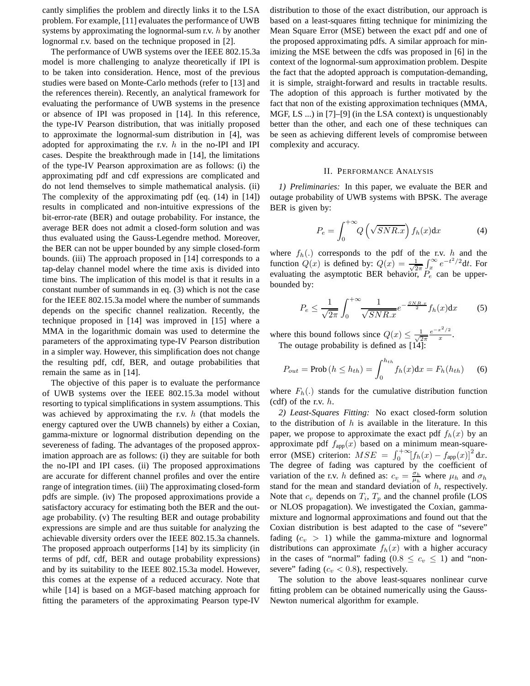cantly simplifies the problem and directly links it to the LSA problem. For example, [11] evaluates the performance of UWB systems by approximating the lognormal-sum r.v. h by another lognormal r.v. based on the technique proposed in [2].

The performance of UWB systems over the IEEE 802.15.3a model is more challenging to analyze theoretically if IPI is to be taken into consideration. Hence, most of the previous studies were based on Monte-Carlo methods (refer to [13] and the references therein). Recently, an analytical framework for evaluating the performance of UWB systems in the presence or absence of IPI was proposed in [14]. In this reference, the type-IV Pearson distribution, that was initially proposed to approximate the lognormal-sum distribution in [4], was adopted for approximating the r.v.  $h$  in the no-IPI and IPI cases. Despite the breakthrough made in [14], the limitations of the type-IV Pearson approximation are as follows: (i) the approximating pdf and cdf expressions are complicated and do not lend themselves to simple mathematical analysis. (ii) The complexity of the approximating pdf (eq. (14) in [14]) results in complicated and non-intuitive expressions of the bit-error-rate (BER) and outage probability. For instance, the average BER does not admit a closed-form solution and was thus evaluated using the Gauss-Legendre method. Moreover, the BER can not be upper bounded by any simple closed-form bounds. (iii) The approach proposed in [14] corresponds to a tap-delay channel model where the time axis is divided into time bins. The implication of this model is that it results in a constant number of summands in eq. (3) which is not the case for the IEEE 802.15.3a model where the number of summands depends on the specific channel realization. Recently, the technique proposed in [14] was improved in [15] where a MMA in the logarithmic domain was used to determine the parameters of the approximating type-IV Pearson distribution in a simpler way. However, this simplification does not change the resulting pdf, cdf, BER, and outage probabilities that remain the same as in [14].

The objective of this paper is to evaluate the performance of UWB systems over the IEEE 802.15.3a model without resorting to typical simplifications in system assumptions. This was achieved by approximating the r.v.  $h$  (that models the energy captured over the UWB channels) by either a Coxian, gamma-mixture or lognormal distribution depending on the severeness of fading. The advantages of the proposed approximation approach are as follows: (i) they are suitable for both the no-IPI and IPI cases. (ii) The proposed approximations are accurate for different channel profiles and over the entire range of integration times. (iii) The approximating closed-form pdfs are simple. (iv) The proposed approximations provide a satisfactory accuracy for estimating both the BER and the outage probability. (v) The resulting BER and outage probability expressions are simple and are thus suitable for analyzing the achievable diversity orders over the IEEE 802.15.3a channels. The proposed approach outperforms [14] by its simplicity (in terms of pdf, cdf, BER and outage probability expressions) and by its suitability to the IEEE 802.15.3a model. However, this comes at the expense of a reduced accuracy. Note that while [14] is based on a MGF-based matching approach for fitting the parameters of the approximating Pearson type-IV

distribution to those of the exact distribution, our approach is based on a least-squares fitting technique for minimizing the Mean Square Error (MSE) between the exact pdf and one of the proposed approximating pdfs. A similar approach for minimizing the MSE between the cdfs was proposed in [6] in the context of the lognormal-sum approximation problem. Despite the fact that the adopted approach is computation-demanding, it is simple, straight-forward and results in tractable results. The adoption of this approach is further motivated by the fact that non of the existing approximation techniques (MMA, MGF, LS ...) in [7]–[9] (in the LSA context) is unquestionably better than the other, and each one of these techniques can be seen as achieving different levels of compromise between complexity and accuracy.

### II. PERFORMANCE ANALYSIS

*1) Preliminaries:* In this paper, we evaluate the BER and outage probability of UWB systems with BPSK. The average BER is given by:

$$
P_e = \int_0^{+\infty} Q\left(\sqrt{SNR.x}\right) f_h(x) \mathrm{d}x \tag{4}
$$

where  $f_h(.)$  corresponds to the pdf of the r.v.  $h_a$  and the function  $Q(x)$  is defined by:  $Q(x) = \frac{1}{\sqrt{2}}$  $\frac{1}{2\pi} \int_{x}^{\infty} e^{-t^2/2} dt$ . For evaluating the asymptotic BER behavior,  $P_e$  can be upperbounded by:

$$
P_e \le \frac{1}{\sqrt{2\pi}} \int_0^{+\infty} \frac{1}{\sqrt{SNR.x}} e^{-\frac{SNR.x}{2}} f_h(x) dx \tag{5}
$$

where this bound follows since  $Q(x) \leq \frac{1}{\sqrt{2}}$  $2\pi$  $e^{-x^2/2}$  $\frac{x}{x}$ . The outage probability is defined as [14]:

$$
P_{out} = \text{Prob}\left(h \le h_{th}\right) = \int_0^{h_{th}} f_h(x) \mathrm{d}x = F_h(h_{th}) \tag{6}
$$

where  $F_h(.)$  stands for the cumulative distribution function (cdf) of the r.v.  $h$ .

*2) Least-Squares Fitting:* No exact closed-form solution to the distribution of  $h$  is available in the literature. In this paper, we propose to approximate the exact pdf  $f_h(x)$  by an approximate pdf  $f_{app}(x)$  based on a minimum mean-squareerror (MSE) criterion:  $MSE = \int_0^{+\infty} [f_h(x) - f_{app}(x)]^2 dx$ . The degree of fading was captured by the coefficient of variation of the r.v. h defined as:  $c_v = \frac{\sigma_h}{\mu_h}$  where  $\mu_h$  and  $\sigma_h$ stand for the mean and standard deviation of  $h$ , respectively. Note that  $c_v$  depends on  $T_i$ ,  $T_p$  and the channel profile (LOS or NLOS propagation). We investigated the Coxian, gammamixture and lognormal approximations and found out that the Coxian distribution is best adapted to the case of "severe" fading  $(c_v > 1)$  while the gamma-mixture and lognormal distributions can approximate  $f_h(x)$  with a higher accuracy in the cases of "normal" fading  $(0.8 \leq c_v \leq 1)$  and "nonsevere" fading ( $c_v < 0.8$ ), respectively.

The solution to the above least-squares nonlinear curve fitting problem can be obtained numerically using the Gauss-Newton numerical algorithm for example.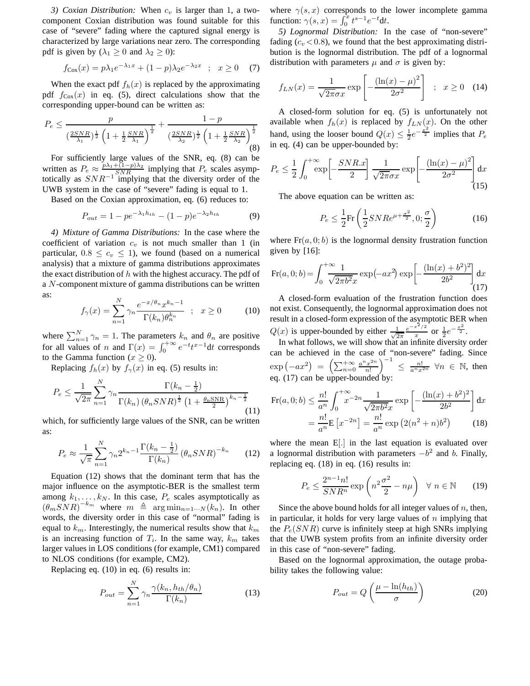*3) Coxian Distribution:* When  $c_v$  is larger than 1, a twocomponent Coxian distribution was found suitable for this case of "severe" fading where the captured signal energy is characterized by large variations near zero. The corresponding pdf is given by  $(\lambda_1 \geq 0$  and  $\lambda_2 \geq 0)$ :

$$
f_{\text{Cox}}(x) = p\lambda_1 e^{-\lambda_1 x} + (1 - p)\lambda_2 e^{-\lambda_2 x} \quad ; \quad x \ge 0 \quad (7)
$$

When the exact pdf  $f_h(x)$  is replaced by the approximating pdf  $f_{\text{Cox}}(x)$  in eq. (5), direct calculations show that the corresponding upper-bound can be written as:

$$
P_e \le \frac{p}{\left(\frac{2SNR}{\lambda_1}\right)^{\frac{1}{2}} \left(1 + \frac{1}{2} \frac{SNR}{\lambda_1}\right)^{\frac{1}{2}}} + \frac{1 - p}{\left(\frac{2SNR}{\lambda_2}\right)^{\frac{1}{2}} \left(1 + \frac{1}{2} \frac{SNR}{\lambda_2}\right)^{\frac{1}{2}}} \tag{8}
$$

For sufficiently large values of the SNR, eq. (8) can be written as  $P_e \approx \frac{p\lambda_1 + (1-p)\lambda_2}{sNR}$  implying that  $P_e$  scales asymptotically as  $SNR^{-1}$  implying that the diversity order of the UWB system in the case of "severe" fading is equal to 1.

Based on the Coxian approximation, eq. (6) reduces to:

$$
P_{out} = 1 - pe^{-\lambda_1 h_{th}} - (1 - p)e^{-\lambda_2 h_{th}} \tag{9}
$$

*4) Mixture of Gamma Distributions:* In the case where the coefficient of variation  $c_v$  is not much smaller than 1 (in particular,  $0.8 \leq c_v \leq 1$ ), we found (based on a numerical analysis) that a mixture of gamma distributions approximates the exact distribution of  $h$  with the highest accuracy. The pdf of a N-component mixture of gamma distributions can be written as:

$$
f_{\gamma}(x) = \sum_{n=1}^{N} \gamma_n \frac{e^{-x/\theta_n} x^{k_n - 1}}{\Gamma(k_n) \theta_n^{k_n}} \quad ; \quad x \ge 0 \tag{10}
$$

where  $\sum_{n=1}^{N} \gamma_n = 1$ . The parameters  $k_n$  and  $\theta_n$  are positive for all values of n and  $\Gamma(x) = \int_0^{+\infty} e^{-t} t^{x-1} dt$  corresponds to the Gamma function ( $x \ge 0$ ).

Replacing  $f_h(x)$  by  $f_\gamma(x)$  in eq. (5) results in:

$$
P_e \le \frac{1}{\sqrt{2\pi}} \sum_{n=1}^{N} \gamma_n \frac{\Gamma(k_n - \frac{1}{2})}{\Gamma(k_n) \left(\theta_n SNR\right)^{\frac{1}{2}} \left(1 + \frac{\theta_n SNR}{2}\right)^{k_n - \frac{1}{2}}}
$$
\n(11)

which, for sufficiently large values of the SNR, can be written as:

$$
P_e \approx \frac{1}{\sqrt{\pi}} \sum_{n=1}^{N} \gamma_n 2^{k_n - 1} \frac{\Gamma(k_n - \frac{1}{2})}{\Gamma(k_n)} (\theta_n SNR)^{-k_n} \tag{12}
$$

Equation (12) shows that the dominant term that has the major influence on the asymptotic-BER is the smallest term among  $k_1, \ldots, k_N$ . In this case,  $P_e$  scales asymptotically as  $(\theta_m SNR)^{-k_m}$  where  $m \triangleq \arg \min_{n=1 \cdots N} (k_n)$ . In other words, the diversity order in this case of "normal" fading is equal to  $k_m$ . Interestingly, the numerical results show that  $k_m$ is an increasing function of  $T_i$ . In the same way,  $k_m$  takes larger values in LOS conditions (for example, CM1) compared to NLOS conditions (for example, CM2).

Replacing eq. (10) in eq. (6) results in:

$$
P_{out} = \sum_{n=1}^{N} \gamma_n \frac{\gamma(k_n, h_{th}/\theta_n)}{\Gamma(k_n)}
$$
(13)

where  $\gamma(s, x)$  corresponds to the lower incomplete gamma function:  $\gamma(s, x) = \int_0^x t^{s-1} e^{-t} dt$ .

*5) Lognormal Distribution:* In the case of "non-severe" fading  $(c_v < 0.8)$ , we found that the best approximating distribution is the lognormal distribution. The pdf of a lognormal distribution with parameters  $\mu$  and  $\sigma$  is given by:

$$
f_{LN}(x) = \frac{1}{\sqrt{2\pi}\sigma x} \exp\left[-\frac{\left(\ln(x) - \mu\right)^2}{2\sigma^2}\right] \quad ; \quad x \ge 0 \quad (14)
$$

A closed-form solution for eq. (5) is unfortunately not available when  $f_h(x)$  is replaced by  $f_{LN}(x)$ . On the other hand, using the looser bound  $Q(x) \leq \frac{1}{2}e^{-\frac{x^2}{2}}$  implies that  $P_e$ in eq. (4) can be upper-bounded by:

$$
P_e \le \frac{1}{2} \int_0^{+\infty} \exp\left[-\frac{SNR.x}{2}\right] \frac{1}{\sqrt{2\pi}\sigma x} \exp\left[-\frac{\left(\ln(x) - \mu\right)^2}{2\sigma^2}\right] dx
$$
\n(15)

The above equation can be written as:

$$
P_e \le \frac{1}{2} \text{Fr} \left( \frac{1}{2} SNRe^{\mu + \frac{\sigma^2}{2}}, 0; \frac{\sigma}{2} \right) \tag{16}
$$

where  $Fr(a, 0; b)$  is the lognormal density frustration function given by [16]:

$$
Fr(a, 0; b) = \int_0^{+\infty} \frac{1}{\sqrt{2\pi b^2 x}} exp(-ax^2) exp\left[-\frac{(\ln(x) + b^2)^2}{2b^2}\right] dx
$$
\n(17)

A closed-form evaluation of the frustration function does not exist. Consequently, the lognormal approximation does not result in a closed-form expression of the asymptotic BER when  $Q(x)$  is upper-bounded by either  $\frac{1}{\sqrt{2}}$  $2\pi$  $e^{-x^2/2}$  $\frac{x^2}{2}$  or  $\frac{1}{2}e^{-\frac{x^2}{2}}$ .

In what follows, we will show that an infinite diversity order can be achieved in the case of "non-severe" fading. Since  $\exp(-ax^2) = \left(\sum_{n=0}^{+\infty} \frac{a^n x^{2n}}{n!}\right)$  $\left(\frac{n!}{n!}\right)^{-1} \leq \frac{n!}{a^n x^{2n}}$   $\forall n \in \mathbb{N}$ , then eq. (17) can be upper-bounded by:

$$
\text{Fr}(a,0;b) \le \frac{n!}{a^n} \int_0^{+\infty} x^{-2n} \frac{1}{\sqrt{2\pi b^2} x} \exp\left[ -\frac{(\ln(x) + b^2)^2}{2b^2} \right] dx
$$

$$
= \frac{n!}{a^n} \text{E}\left[ x^{-2n} \right] = \frac{n!}{a^n} \exp\left( 2(n^2 + n)b^2 \right) \tag{18}
$$

where the mean E[.] in the last equation is evaluated over a lognormal distribution with parameters  $-b^2$  and b. Finally, replacing eq. (18) in eq. (16) results in:

$$
P_e \le \frac{2^{n-1}n!}{SNR^n} \exp\left(n^2\frac{\sigma^2}{2} - n\mu\right) \quad \forall \ n \in \mathbb{N} \tag{19}
$$

Since the above bound holds for all integer values of  $n$ , then, in particular, it holds for very large values of  $n$  implying that the  $P_e(SNR)$  curve is infinitely steep at high SNRs implying that the UWB system profits from an infinite diversity order in this case of "non-severe" fading.

Based on the lognormal approximation, the outage probability takes the following value:

$$
P_{out} = Q\left(\frac{\mu - \ln(h_{th})}{\sigma}\right) \tag{20}
$$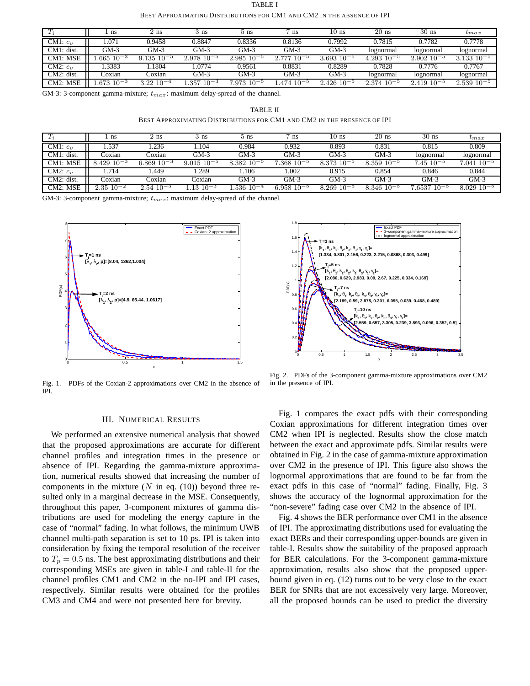| TABLE I                                                                |
|------------------------------------------------------------------------|
| BEST APPROXIMATING DISTRIBUTIONS FOR CM1 AND CM2 IN THE ABSENCE OF IPI |

|                         | ns                 | 2 ns             | 3 ns                     | 5 ns              | ns                | $10 \text{ ns}$    | $20$ ns                  | $30$ ns           | $\iota_{max}$     |
|-------------------------|--------------------|------------------|--------------------------|-------------------|-------------------|--------------------|--------------------------|-------------------|-------------------|
| CM <sub>1</sub> : $c_v$ | .071               | 0.9458           | 0.8847                   | 0.8336            | 0.8136            | 0.7992             | 0.7815                   | 0.7782            | 0.7778            |
| CM1: dist.              | $GM-3$             | $GM-3$           | $GM-3$                   | GM-3              | $GM-3$            | $GM-3$             | lognormal                | lognormal         | lognormal         |
| CM1: MSE                | $.665\ 10^{-3}$    | $9.135\ 10^{-5}$ | $2.978$ 10 <sup>-5</sup> | $2.985$ $10^{-5}$ | $2.77710^{-5}$    | $3.693$ $10^{-5}$  | $4.293\;10^{-5}$         | $2.902 \ 10^{-5}$ | $3.133$ $10^{-5}$ |
| CM2: $c_v$              | .3383              | .1804            | .0774                    | 0.9561            | 0.8831            | 0.8289             | 0.7828                   | 0.7776            | 0.7767            |
| CM2: dist.              | Coxian             | Coxian           | $GM-3$                   | GM-3              | $GM-3$            | $GM-3$             | lognormal                | lognormal         | lognormal         |
| CM2: MSE                | $1.673 \; 10^{-3}$ | $3.22~10^{-4}$   | $.35710^{-3}$            | $7.973$ $10^{-5}$ | $1.474$ $10^{-5}$ | $2.426 \; 10^{-5}$ | $2.374$ 10 <sup>-5</sup> | $2.419$ $10^{-5}$ | $2.53910^{-5}$    |

GM-3: 3-component gamma-mixture;  $t_{max}$ : maximum delay-spread of the channel.

TABLE II BEST APPROXIMATING DISTRIBUTIONS FOR CM1 AND CM2 IN THE PRESENCE OF IPI

| $\perp$       | ns                | 2 ns              | 3 ns              | 5 ns                     | ns                | $10 \; \mathrm{ns}$ | $20$ ns         | $30$ ns           | $\iota_{max}$     |
|---------------|-------------------|-------------------|-------------------|--------------------------|-------------------|---------------------|-----------------|-------------------|-------------------|
| CM1: $c_v$    | .537              | .236              | .104              | 0.984                    | 0.932             | 0.893               | 0.831           | 0.815             | 0.809             |
| CM1: dist.    | Coxian            | Coxian            | GM-3              | $GM-3$                   | GM-3              | $GM-3$              | $GM-3$          | lognormal         | lognormal         |
| CM1: MSE      | $.429\;10^{-3}$   | $6.86910^{-3}$    | $9.015$ $10^{-5}$ | $8.382$ 10 <sup>-5</sup> | $7.368$ $10^{-5}$ | 8.373<br>$10^{-5}$  | $8.35910^{-5}$  | $7.45 \; 10^{-5}$ | $7.041$ $10^{-5}$ |
| CM2: $c_v$    | 714               | .449              | .289              | . 106                    | .002              | 0.915               | 0.854           | 0.846             | 0.844             |
| $CM2$ : dist. | Coxian            | Coxian            | Coxian            | $GM-3$                   | GM-3              | $GM-3$              | $GM-3$          | $GM-3$            | $GM-3$            |
| CM2: MSE      | $2.35 \; 10^{-2}$ | $2.54 \; 10^{-3}$ | 13.<br>$10^{-3}$  | .536<br>$10^{-4}$        | $6.95810^{-5}$    | 8.269<br>$10^{-5}$  | $8.346~10^{-5}$ | $7.6537~10^{-5}$  | $8.02910^{-5}$    |

GM-3: 3-component gamma-mixture;  $t_{max}$ : maximum delay-spread of the channel.



Fig. 1. PDFs of the Coxian-2 approximations over CM2 in the absence of IPI.

### III. NUMERICAL RESULTS

We performed an extensive numerical analysis that showed that the proposed approximations are accurate for different channel profiles and integration times in the presence or absence of IPI. Regarding the gamma-mixture approximation, numerical results showed that increasing the number of components in the mixture  $(N \text{ in eq. (10)})$  beyond three resulted only in a marginal decrease in the MSE. Consequently, throughout this paper, 3-component mixtures of gamma distributions are used for modeling the energy capture in the case of "normal" fading. In what follows, the minimum UWB channel multi-path separation is set to 10 ps. IPI is taken into consideration by fixing the temporal resolution of the receiver to  $T_p = 0.5$  ns. The best approximating distributions and their corresponding MSEs are given in table-I and table-II for the channel profiles CM1 and CM2 in the no-IPI and IPI cases, respectively. Similar results were obtained for the profiles CM3 and CM4 and were not presented here for brevity.



Fig. 2. PDFs of the 3-component gamma-mixture approximations over CM2 in the presence of IPI.

Fig. 1 compares the exact pdfs with their corresponding Coxian approximations for different integration times over CM2 when IPI is neglected. Results show the close match between the exact and approximate pdfs. Similar results were obtained in Fig. 2 in the case of gamma-mixture approximation over CM2 in the presence of IPI. This figure also shows the lognormal approximations that are found to be far from the exact pdfs in this case of "normal" fading. Finally, Fig. 3 shows the accuracy of the lognormal approximation for the "non-severe" fading case over CM2 in the absence of IPI.

Fig. 4 shows the BER performance over CM1 in the absence of IPI. The approximating distributions used for evaluating the exact BERs and their corresponding upper-bounds are given in table-I. Results show the suitability of the proposed approach for BER calculations. For the 3-component gamma-mixture approximation, results also show that the proposed upperbound given in eq. (12) turns out to be very close to the exact BER for SNRs that are not excessively very large. Moreover, all the proposed bounds can be used to predict the diversity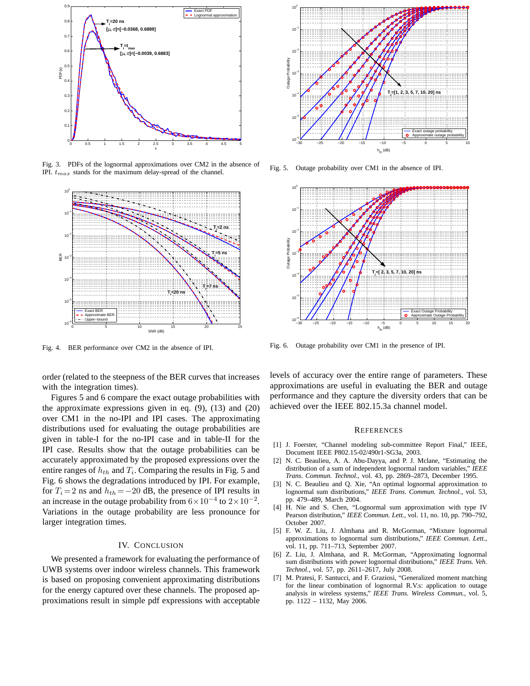

Fig. 3. PDFs of the lognormal approximations over CM2 in the absence of IPI.  $t_{max}$  stands for the maximum delay-spread of the channel.



Fig. 4. BER performance over CM2 in the absence of IPI.

order (related to the steepness of the BER curves that increases with the integration times).

Figures 5 and 6 compare the exact outage probabilities with the approximate expressions given in eq. (9), (13) and (20) over CM1 in the no-IPI and IPI cases. The approximating distributions used for evaluating the outage probabilities are given in table-I for the no-IPI case and in table-II for the IPI case. Results show that the outage probabilities can be accurately approximated by the proposed expressions over the entire ranges of  $h_{th}$  and  $T_i$ . Comparing the results in Fig. 5 and Fig. 6 shows the degradations introduced by IPI. For example, for  $T_i = 2$  ns and  $h_{th} = -20$  dB, the presence of IPI results in an increase in the outage probability from  $6 \times 10^{-4}$  to  $2 \times 10^{-2}$ . Variations in the outage probability are less pronounce for larger integration times.

### IV. CONCLUSION

We presented a framework for evaluating the performance of UWB systems over indoor wireless channels. This framework is based on proposing convenient approximating distributions for the energy captured over these channels. The proposed approximations result in simple pdf expressions with acceptable



Fig. 5. Outage probability over CM1 in the absence of IPI.



Fig. 6. Outage probability over CM1 in the presence of IPI.

levels of accuracy over the entire range of parameters. These approximations are useful in evaluating the BER and outage performance and they capture the diversity orders that can be achieved over the IEEE 802.15.3a channel model.

#### **REFERENCES**

- [1] J. Foerster, "Channel modeling sub-committee Report Final," IEEE, Document IEEE P802.15-02/490r1-SG3a, 2003.
- [2] N. C. Beaulieu, A. A. Abu-Dayya, and P. J. Mclane, "Estimating the distribution of a sum of independent lognormal random variables," *IEEE Trans. Commun. Technol.*, vol. 43, pp. 2869–2873, December 1995.
- [3] N. C. Beaulieu and Q. Xie, "An optimal lognormal approximation to lognormal sum distributions," *IEEE Trans. Commun. Technol.*, vol. 53, pp. 479–489, March 2004.
- [4] H. Nie and S. Chen, "Lognormal sum approximation with type IV Pearson distribution," *IEEE Commun. Lett.*, vol. 11, no. 10, pp. 790–792, October 2007.
- [5] F. W. Z. Liu, J. Almhana and R. McGorman, "Mixture lognormal approximations to lognormal sum distributions," *IEEE Commun. Lett.*, vol. 11, pp. 711–713, September 2007.
- [6] Z. Liu, J. Almhana, and R. McGorman, "Approximating lognormal sum distributions with power lognormal distributions," *IEEE Trans. Veh. Technol.*, vol. 57, pp. 2611–2617, July 2008.
- [7] M. Pratesi, F. Santucci, and F. Graziosi, "Generalized moment matching for the linear combination of lognormal R.V.s: application to outage analysis in wireless systems," *IEEE Trans. Wireless Commun.*, vol. 5, pp. 1122 – 1132, May 2006.